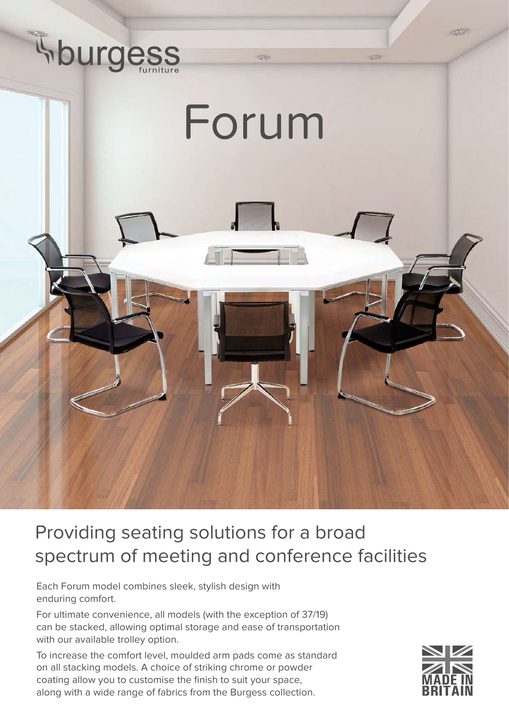

## Providing seating solutions for a broad spectrum of meeting and conference facilities

Each Forum model combines sleek, stylish design with enduring comfort.

For ultimate convenience, all models (with the exception of 37/19) can be stacked, allowing optimal storage and ease of transportation with our available trolley option.

To increase the comfort level, moulded arm pads come as standard on all stacking models. A choice of striking chrome or powder coating allow you to customise the finish to suit your space, along with a wide range of fabrics from the Burgess collection.